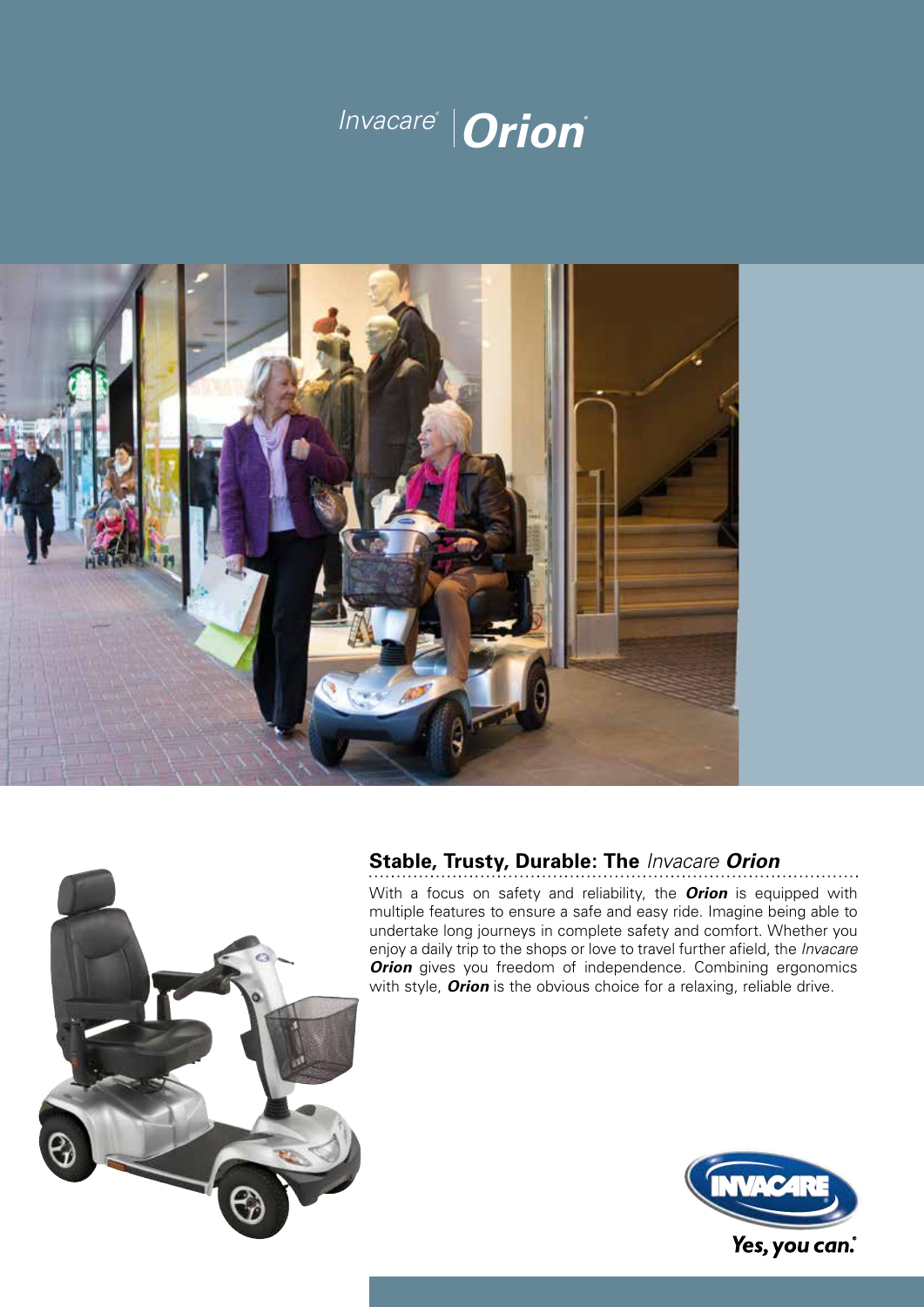



# **Stable, Trusty, Durable: The** *Invacare Orion*

With a focus on safety and reliability, the *Orion* is equipped with multiple features to ensure a safe and easy ride. Imagine being able to undertake long journeys in complete safety and comfort. Whether you enjoy a daily trip to the shops or love to travel further afield, the *Invacare* **Orion** gives you freedom of independence. Combining ergonomics with style, *Orion* is the obvious choice for a relaxing, reliable drive.



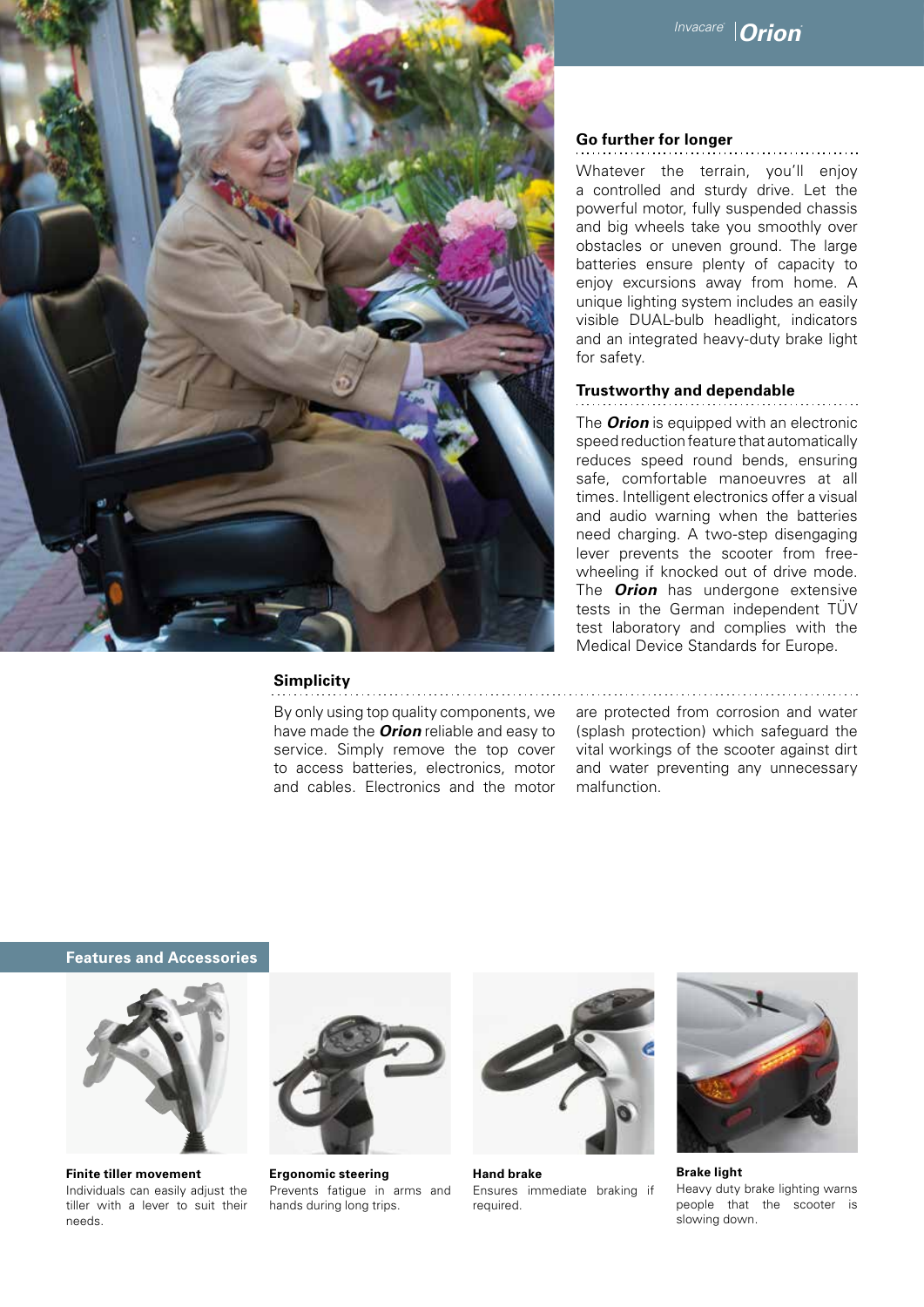

#### **Simplicity**

By only using top quality components, we have made the *Orion* reliable and easy to service. Simply remove the top cover to access batteries, electronics, motor and cables. Electronics and the motor

# **Go further for longer**

Whatever the terrain, you'll enjoy a controlled and sturdy drive. Let the powerful motor, fully suspended chassis and big wheels take you smoothly over obstacles or uneven ground. The large batteries ensure plenty of capacity to enjoy excursions away from home. A unique lighting system includes an easily visible DUAL-bulb headlight, indicators and an integrated heavy-duty brake light for safety.

# **Trustworthy and dependable**

The *Orion* is equipped with an electronic speed reduction feature that automatically reduces speed round bends, ensuring safe, comfortable manoeuvres at all times. Intelligent electronics offer a visual and audio warning when the batteries need charging. A two-step disengaging lever prevents the scooter from freewheeling if knocked out of drive mode. The *Orion* has undergone extensive tests in the German independent TÜV test laboratory and complies with the Medical Device Standards for Europe.

are protected from corrosion and water (splash protection) which safeguard the vital workings of the scooter against dirt and water preventing any unnecessary malfunction.

### **Features and Accessories**



**Finite tiller movement**  Individuals can easily adjust the tiller with a lever to suit their needs.



**Ergonomic steering**  Prevents fatigue in arms and hands during long trips.



**Hand brake**  Ensures immediate braking if required.



**Brake light**  Heavy duty brake lighting warns people that the scooter is slowing down.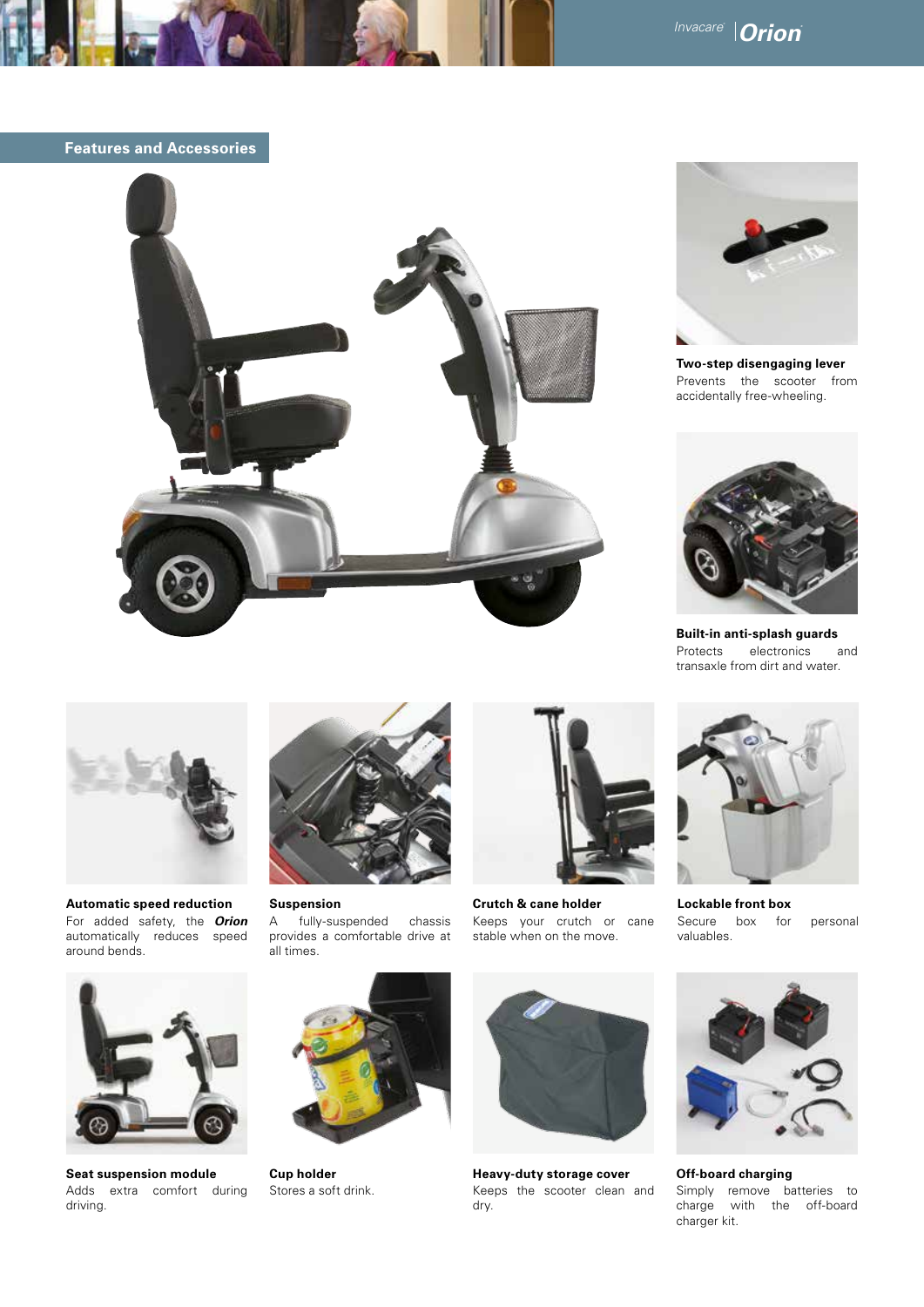**Features and Accessories**





**Two-step disengaging lever**  Prevents the scooter from accidentally free-wheeling.



**Built-in anti-splash guards**  Protects electronics and transaxle from dirt and water.



**Automatic speed reduction**  For added safety, the *Orion* automatically reduces speed around bends.



**Suspension**  A fully-suspended chassis provides a comfortable drive at all times.



**Crutch & cane holder**  Keeps your crutch or cane stable when on the move.



**Lockable front box** Secure box for personal valuables.



**Seat suspension module**  Adds extra comfort during driving.



**Cup holder**  Stores a soft drink.



**Heavy-duty storage cover**  Keeps the scooter clean and dry.



**Off-board charging**  Simply remove batteries to charge with the off-board charger kit.